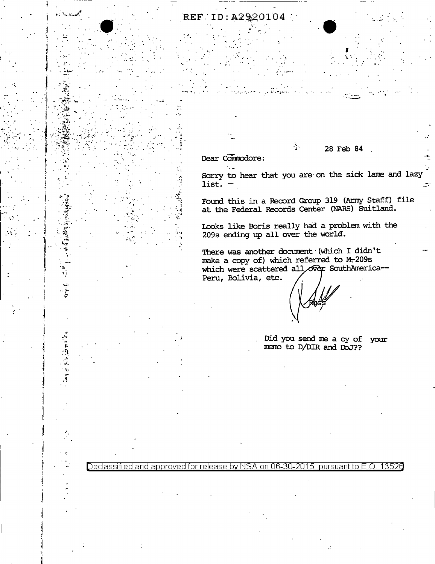## REF ID: A2920104

Dear Commodore:  $\ddotsc$ 

į

この 電源 にんかいき

٦.

28 Feb 84

Sorry to hear that you are on the sick lame and lazy  $list. -$ 

Found this in a Record Group 319 (Army Staff) file at the Federal Records Center (NARS) Suitland.

Looks like Boris really had a problem with the 209s ending up all over the world.

 $\mathcal{L}_{\mathcal{F}}$ 

There was another document (which I didn't make a copy of) which referred to M-209s which were scattered all over SouthAmerica--Peru, Bolivia, etc.

Did you send me a cy of your memo to D/DIR and DoJ??

Declassified and approved for release by NSA on 06-30-2015 pursuant to E.O. 13526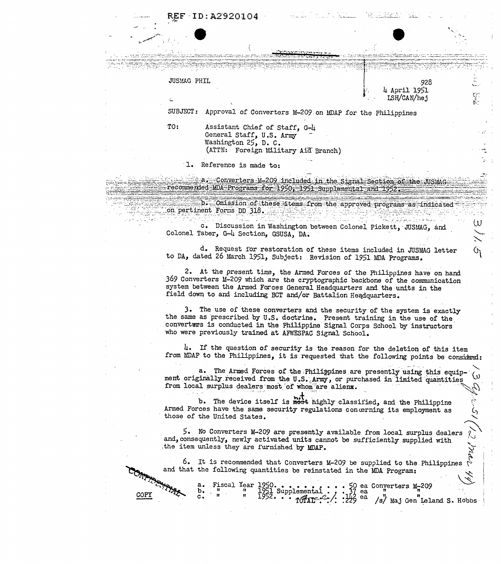| REF ID: A2920104                                                                                                                | al a Brest                  |      |
|---------------------------------------------------------------------------------------------------------------------------------|-----------------------------|------|
|                                                                                                                                 |                             |      |
|                                                                                                                                 |                             |      |
| JUSMAG PHIL                                                                                                                     | 4 April 1951<br>LSH/CAN/hej | .928 |
| SUBJECT:<br>Approval of Converters M-209 on MDAP for the Philippines                                                            |                             |      |
| TO:<br>Assistant Chief of Staff, G-4<br>General Staff, U.S. Army<br>Washington 25, D. C.<br>(ATTN: Foreign Military Aid Branch) |                             |      |
| Reference is made to:<br>$\mathbf{L}$ .                                                                                         |                             |      |
| Converters M-209 included in the Signal Section of the JUSMAC<br>recommended MDA Programs for 1950, 1951 Supplemental and 1952. |                             |      |
| b. Omission of these items from the approved programs as indicated<br>Con pertinent Forms DD 318.                               |                             |      |
| c. Discussion in Washington between Colonel Pickett, JUSMAG, and<br>Colonel Taber, G-4 Section, GSUSA, DA.                      |                             | .W   |

Ġ٦

d. Request for restoration of these items included in JUSMAG letter to DA, dated 26 March 1951, Subject: Revision of 1951 MDA Programs.

2. At the present time, the Armed Forces of the Philippines have on hand 369 Converters M-209 which are the cryptographic backbone of the communication system between the Armed Forces General Headquarters and the units in the field down to and including BCT and/or Battalion Headquarters.

3. The use of these converters and the security of the system is exactly the same as prescribed by U.S. doctrine. Present training in the use of the converturs is conducted in the Philippine Signal Corps School by instructors who were previously trained at AFWESPAC Signal School.

4. If the question of security is the reason for the deletion of this item from MDAP to the Philippines, it is requested that the following points be considered:

a. The Armed Forces of the Philippines are presently using this equip-(ပ ment originally received from the U.S. Army, or purchased in limited quantities from local surplus dealers most of whom are alienx.

b. The device itself is most highly classified, and the Philippine Armed Forces have the same security regulations concerning its employment as those of the United States.

5. No Converters M-209 are presently available from local surplus dealers and, consequently, newly activated units cannot be sufficiently supplied with the item unless they are furnished by MDAP.

6. It is recommended that Converters M-209 be supplied to the Philippines and that the following quantities be reinstated in the MDA Program:  $3/9$ 

COPY

 $\mu$  , where  $\mu$ 

 $\mathbf{b}$ 

非常常。

50 ea Converters M-209<br>37 ea marters M-209<br>229 ea /s/ Maj Gen Lel. Fiscal Year 1950,<br>" " 1951<br>" " 1952,  $\frac{1}{2}$ . Supplemental : ; :<br>2.  $\cdot$  10 Mar ...  $/s$ / Maj Gen Leland S. Hobbs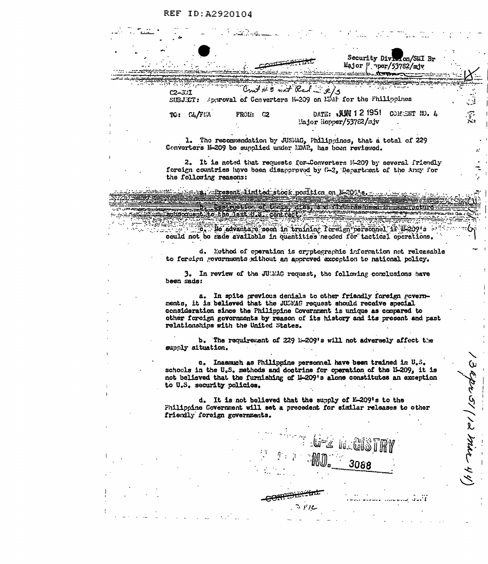## REF ID:A2920104

 $\ddot{\phantom{a}}$ 

| Security Division/SMI Br<br>Major $\frac{1}{2}$ per/53782/mjv                                                                                                                                                                                                                                                                               |              |
|---------------------------------------------------------------------------------------------------------------------------------------------------------------------------------------------------------------------------------------------------------------------------------------------------------------------------------------------|--------------|
|                                                                                                                                                                                                                                                                                                                                             |              |
| $\mathcal{C}_{m}f\neq g$ and Red $g/s$<br>$C2 - 311$<br>SUBJET: Approval of Converters 1-209 on HDAF for the Philippines                                                                                                                                                                                                                    |              |
| DATE: JUN 12 1951 COMENT NO. 4<br>TC: GA/FLA<br>FROL:<br>ි2<br><b>Hajor</b> Hopper/53782/mjv                                                                                                                                                                                                                                                | $\mathbb{Z}$ |
| 1. The recommendation by JUSMAG, Fhilippines, that a total of 229<br>Converters E-209 be supplied under HDAR, has been reviewed.                                                                                                                                                                                                            |              |
| 2. It is noted that requests for-Converters N-209 by several friendly<br>foreign countries have been disapproved by (-2, Department of the Army for<br>the following reasons:                                                                                                                                                               |              |
|                                                                                                                                                                                                                                                                                                                                             |              |
| Superior with the Land Holder Contract of the Contract of the Contract of the Contract of the Contract of the                                                                                                                                                                                                                               |              |
| $c$ , $\emptyset$ . No advantage seen in training foreign personnel if $E \gtrsim 09!$ s<br>could not be rade available in quantities needed for tactical operations.                                                                                                                                                                       |              |
| d. Method of operation is cryptographic information not releasable<br>to foreign governments without an approved exception to national policy.                                                                                                                                                                                              |              |
| 3. In review of the JUGMAG request, the following conclusions have<br>been made:                                                                                                                                                                                                                                                            |              |
| In spite previous denials to other friendly foreign govern-<br>а.<br>ments, it is believed that the JUSMAG request should receive special<br>consideration since the Philippine Covernment is unique as compared to<br>other forcign governments by reason of its history and its present and past<br>relationships with the United States. |              |
| b. The requirement of 229 $\&$ -209's will not adversely affect the<br>supply situation.                                                                                                                                                                                                                                                    |              |
| c. Inasmuch as Philippine personnel have been trained in U.S.<br>schools in the U.S. methods and doctrine for operation of the 1-209, it is<br>not believed that the furnishing of 1-209's alone constitutes an exception<br>to U.S. security policies.                                                                                     |              |
| d. It is not believed that the supply of E-209's to the<br>Fhilippine Government will set a precedent for similar releases to other<br>friendly foreign governments.                                                                                                                                                                        | ہی جاتا      |
| The Second State of the State of State of the State of State of State of State of State of the State of State o                                                                                                                                                                                                                             |              |
| $1 + 7 - 2088$                                                                                                                                                                                                                                                                                                                              |              |
|                                                                                                                                                                                                                                                                                                                                             |              |
|                                                                                                                                                                                                                                                                                                                                             |              |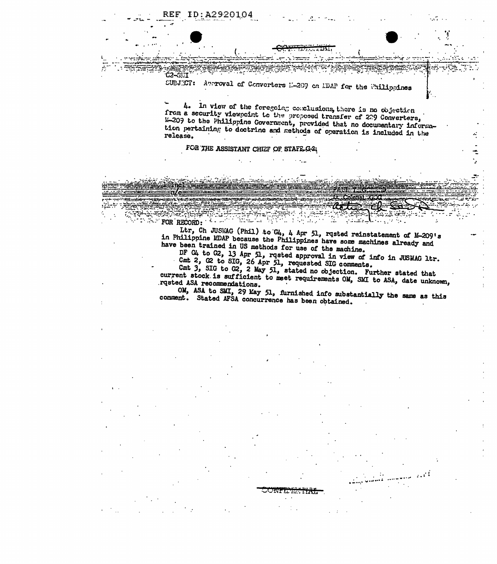FOR RECORD:

 $C2 - S11$ 

SUBJECT: Approval of Converters E-209 on EDAP for the Fhilippines

4. In view of the foregoing conclusions, there is no objection from a security viewpoint to the proposed transfer of 209 Converters, 1-209 to the Philippine Government, provided that no documentary information pertaining to doctrine and methods of operation is included in the release.

FOR THE ASSISTANT CHIEF OF STAFF-G-2;

 $\sim$ 

Ltr, Ch JUSMAG (Phil) to G4, 4 Apr 51, rusted reinstatement of M-209's in Philippine MDAP because the Philippines have some machines already and have been trained in US methods for use of the machine.

DF G4 to G2, 13 Apr 51, rqsted approval in view of info in JUSMAG ltr. Cmt 2, G2 to SIG, 26 Apr 51, requested SIG comments.

Cmt 3, SIG to G2, 2 May 51, stated no objection. Further stated that current stock is sufficient to meet requirements OM, SMI to ASA, date unknown, rqsted ASA recommendations.

OM, ASA to SMI, 29 May 51, furnished info substantially the same as this comment. Stated AFSA concurrence has been obtained.

**ROUTE 17507**